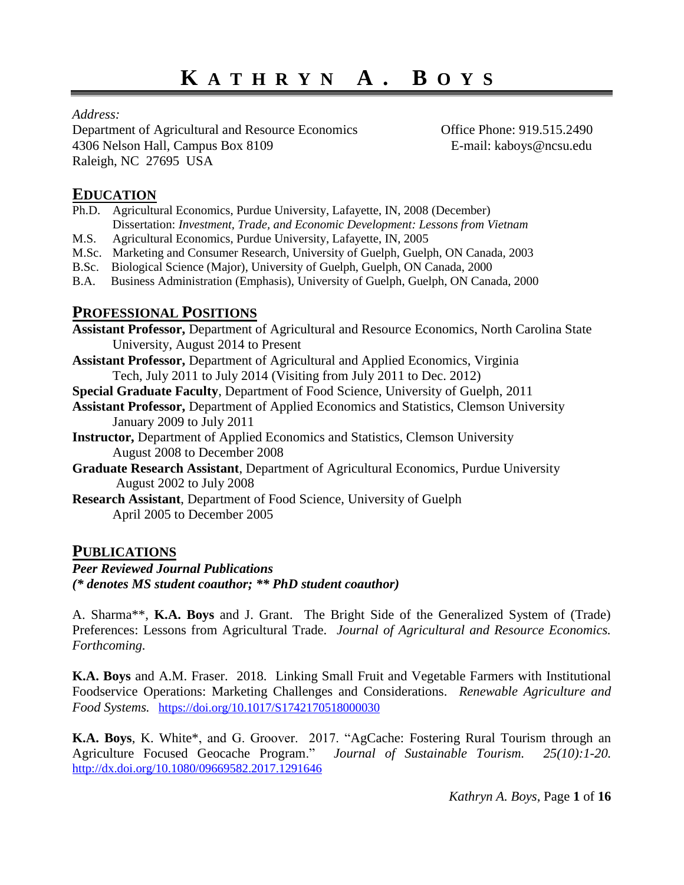*Address:*

Department of Agricultural and Resource Economics Office Phone: 919.515.2490 4306 Nelson Hall, Campus Box 8109 E-mail: kaboys@ncsu.edu Raleigh, NC 27695 USA

# **EDUCATION**

- Ph.D. Agricultural Economics, Purdue University, Lafayette, IN, 2008 (December) Dissertation: *Investment, Trade, and Economic Development: Lessons from Vietnam*
- M.S. Agricultural Economics, Purdue University, Lafayette, IN, 2005
- M.Sc. Marketing and Consumer Research, University of Guelph, Guelph, ON Canada, 2003
- B.Sc. Biological Science (Major), University of Guelph, Guelph, ON Canada, 2000
- B.A. Business Administration (Emphasis), University of Guelph, Guelph, ON Canada, 2000

# **PROFESSIONAL POSITIONS**

**Assistant Professor,** Department of Agricultural and Resource Economics, North Carolina State University, August 2014 to Present

**Assistant Professor,** Department of Agricultural and Applied Economics, Virginia Tech, July 2011 to July 2014 (Visiting from July 2011 to Dec. 2012)

**Special Graduate Faculty**, Department of Food Science, University of Guelph, 2011

- **Assistant Professor,** Department of Applied Economics and Statistics, Clemson University January 2009 to July 2011
- **Instructor,** Department of Applied Economics and Statistics, Clemson University August 2008 to December 2008
- **Graduate Research Assistant**, Department of Agricultural Economics, Purdue University August 2002 to July 2008
- **Research Assistant**, Department of Food Science, University of Guelph April 2005 to December 2005

# **PUBLICATIONS**

*Peer Reviewed Journal Publications (\* denotes MS student coauthor; \*\* PhD student coauthor)* 

A. Sharma\*\*, **K.A. Boys** and J. Grant. The Bright Side of the Generalized System of (Trade) Preferences: Lessons from Agricultural Trade. *Journal of Agricultural and Resource Economics. Forthcoming.* 

**K.A. Boys** and A.M. Fraser. 2018. Linking Small Fruit and Vegetable Farmers with Institutional Foodservice Operations: Marketing Challenges and Considerations. *Renewable Agriculture and Food Systems.* <https://doi.org/10.1017/S1742170518000030>

**K.A. Boys**, K. White\*, and G. Groover. 2017. "AgCache: Fostering Rural Tourism through an Agriculture Focused Geocache Program." *Journal of Sustainable Tourism. 25(10):1-20.* <http://dx.doi.org/10.1080/09669582.2017.1291646>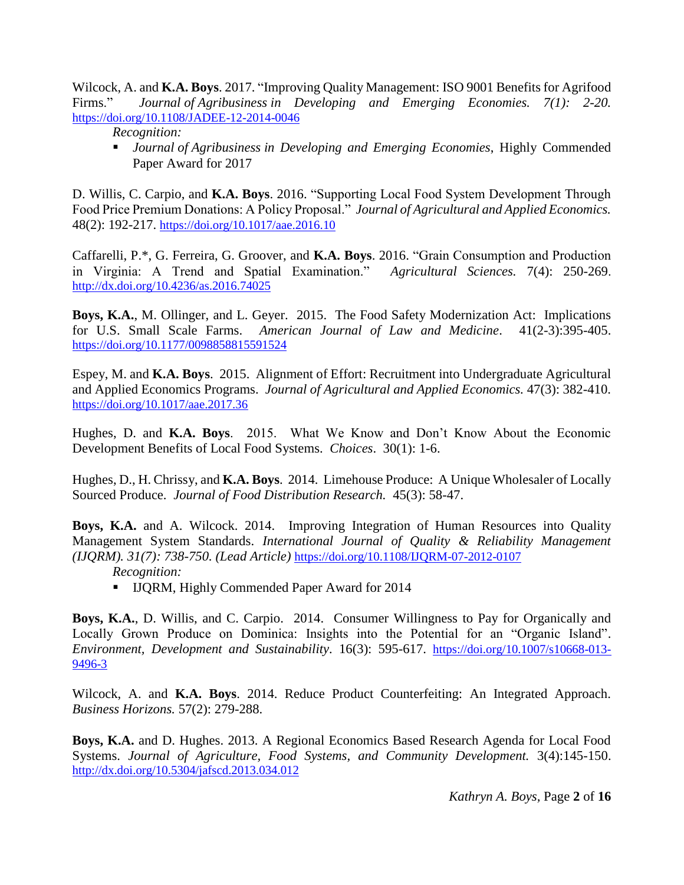Wilcock, A. and **K.A. Boys**. 2017. "Improving Quality Management: ISO 9001 Benefits for Agrifood Firms." *Journal of Agribusiness in Developing and Emerging Economies. 7(1): 2-20.* <https://doi.org/10.1108/JADEE-12-2014-0046>

*Recognition:*

 *Journal of Agribusiness in Developing and Emerging Economies*, Highly Commended Paper Award for 2017

D. Willis, C. Carpio, and **K.A. Boys**. 2016. "Supporting Local Food System Development Through Food Price Premium Donations: A Policy Proposal." *Journal of Agricultural and Applied Economics.*  48(2): 192-217. <https://doi.org/10.1017/aae.2016.10>

Caffarelli, P.\*, G. Ferreira, G. Groover, and **K.A. Boys**. 2016. "Grain Consumption and Production in Virginia: A Trend and Spatial Examination." *Agricultural Sciences.* 7(4): 250-269. <http://dx.doi.org/10.4236/as.2016.74025>

**Boys, K.A.**, M. Ollinger, and L. Geyer. 2015. The Food Safety Modernization Act: Implications for U.S. Small Scale Farms. *American Journal of Law and Medicine*. 41(2-3):395-405. <https://doi.org/10.1177/0098858815591524>

Espey, M. and **K.A. Boys**. 2015. Alignment of Effort: Recruitment into Undergraduate Agricultural and Applied Economics Programs. *Journal of Agricultural and Applied Economics.* 47(3): 382-410. <https://doi.org/10.1017/aae.2017.36>

Hughes, D. and **K.A. Boys**. 2015. What We Know and Don't Know About the Economic Development Benefits of Local Food Systems. *Choices*. 30(1): 1-6.

Hughes, D., H. Chrissy, and **K.A. Boys**. 2014. Limehouse Produce: A Unique Wholesaler of Locally Sourced Produce. *Journal of Food Distribution Research.* 45(3): 58-47.

Boys, K.A. and A. Wilcock. 2014. Improving Integration of Human Resources into Quality Management System Standards. *International Journal of Quality & Reliability Management (IJQRM). 31(7): 738-750. (Lead Article)* <https://doi.org/10.1108/IJQRM-07-2012-0107>

### *Recognition:*

**IJQRM, Highly Commended Paper Award for 2014** 

**Boys, K.A.**, D. Willis, and C. Carpio. 2014. Consumer Willingness to Pay for Organically and Locally Grown Produce on Dominica: Insights into the Potential for an "Organic Island". *Environment, Development and Sustainability.* 16(3): 595-617. [https://doi.org/10.1007/s10668-013-](https://doi.org/10.1007/s10668-013-9496-3) [9496-3](https://doi.org/10.1007/s10668-013-9496-3) 

Wilcock, A. and **K.A. Boys**. 2014. Reduce Product Counterfeiting: An Integrated Approach. *Business Horizons.* 57(2): 279-288.

**Boys, K.A.** and D. Hughes. 2013. A Regional Economics Based Research Agenda for Local Food Systems. *Journal of Agriculture, Food Systems, and Community Development.* 3(4):145-150. <http://dx.doi.org/10.5304/jafscd.2013.034.012>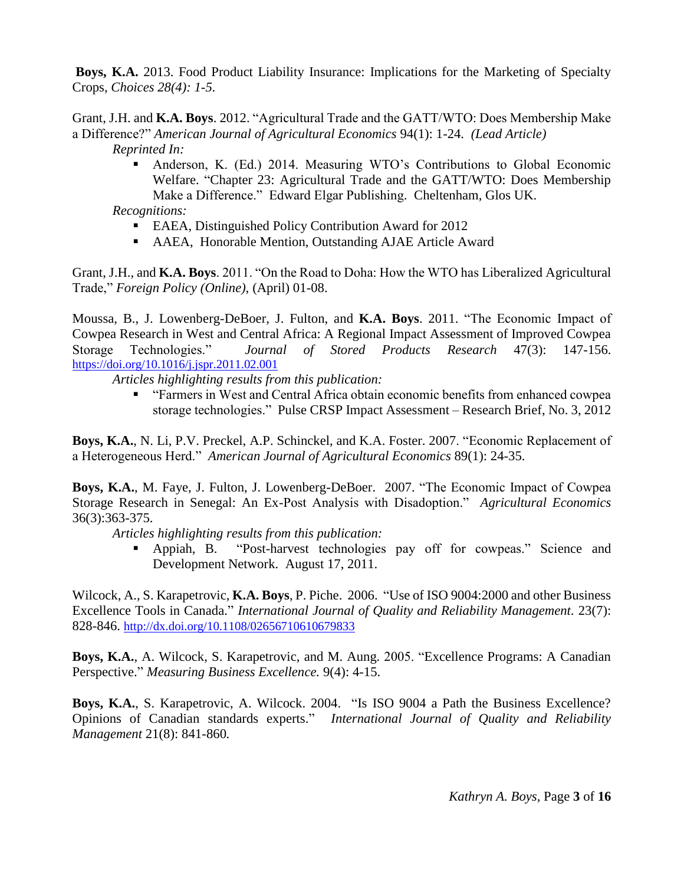**Boys, K.A.** 2013. Food Product Liability Insurance: Implications for the Marketing of Specialty Crops, *Choices 28(4): 1-5.* 

Grant, J.H. and **K.A. Boys**. 2012. "Agricultural Trade and the GATT/WTO: Does Membership Make a Difference?" *American Journal of Agricultural Economics* 94(1): 1-24. *(Lead Article) Reprinted In:*

> Anderson, K. (Ed.) 2014. Measuring WTO's Contributions to Global Economic Welfare. "Chapter 23: Agricultural Trade and the GATT/WTO: Does Membership Make a Difference." Edward Elgar Publishing. Cheltenham, Glos UK.

*Recognitions:*

- EAEA, Distinguished Policy Contribution Award for 2012
- AAEA, Honorable Mention, Outstanding AJAE Article Award

Grant, J.H., and **K.A. Boys**. 2011. "On the Road to Doha: How the WTO has Liberalized Agricultural Trade," *Foreign Policy (Online)*, (April) 01-08.

Moussa, B., J. Lowenberg-DeBoer, J. Fulton, and **K.A. Boys**. 2011. "The Economic Impact of Cowpea Research in West and Central Africa: A Regional Impact Assessment of Improved Cowpea Storage Technologies." *Journal of Stored Products Research* 47(3): 147-156. <https://doi.org/10.1016/j.jspr.2011.02.001>

*Articles highlighting results from this publication:*

 "Farmers in West and Central Africa obtain economic benefits from enhanced cowpea storage technologies." Pulse CRSP Impact Assessment – Research Brief, No. 3, 2012

**Boys, K.A.**, N. Li, P.V. Preckel, A.P. Schinckel, and K.A. Foster. 2007. "Economic Replacement of a Heterogeneous Herd." *American Journal of Agricultural Economics* 89(1): 24-35.

**Boys, K.A.**, M. Faye, J. Fulton, J. Lowenberg-DeBoer. 2007. "The Economic Impact of Cowpea Storage Research in Senegal: An Ex-Post Analysis with Disadoption." *Agricultural Economics* 36(3):363-375.

*Articles highlighting results from this publication:*

 Appiah, B. "Post-harvest technologies pay off for cowpeas." Science and Development Network. August 17, 2011.

Wilcock, A., S. Karapetrovic, **K.A. Boys**, P. Piche. 2006. "Use of ISO 9004:2000 and other Business Excellence Tools in Canada." *International Journal of Quality and Reliability Management.* 23(7): 828-846. <http://dx.doi.org/10.1108/02656710610679833>

**Boys, K.A.**, A. Wilcock, S. Karapetrovic, and M. Aung. 2005. "Excellence Programs: A Canadian Perspective." *Measuring Business Excellence.* 9(4): 4-15.

**Boys, K.A.**, S. Karapetrovic, A. Wilcock. 2004. "Is ISO 9004 a Path the Business Excellence? Opinions of Canadian standards experts." *International Journal of Quality and Reliability Management* 21(8): 841-860*.*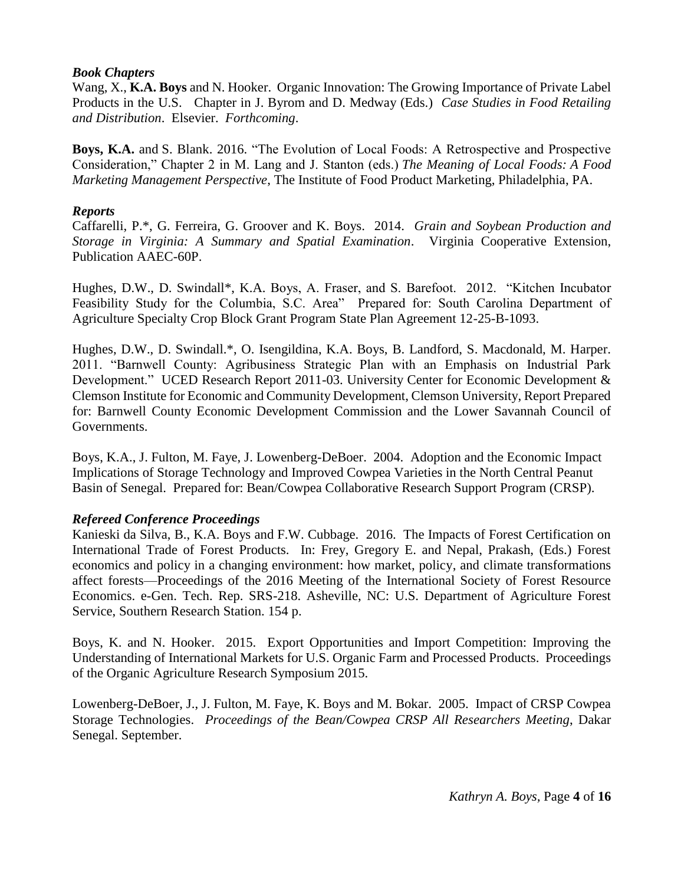### *Book Chapters*

Wang, X., **K.A. Boys** and N. Hooker. Organic Innovation: The Growing Importance of Private Label Products in the U.S. Chapter in J. Byrom and D. Medway (Eds.) *Case Studies in Food Retailing and Distribution*. Elsevier. *Forthcoming*.

**Boys, K.A.** and S. Blank. 2016. "The Evolution of Local Foods: A Retrospective and Prospective Consideration," Chapter 2 in M. Lang and J. Stanton (eds.) *The Meaning of Local Foods: A Food Marketing Management Perspective*, The Institute of Food Product Marketing, Philadelphia, PA.

### *Reports*

Caffarelli, P.\*, G. Ferreira, G. Groover and K. Boys. 2014. *Grain and Soybean Production and Storage in Virginia: A Summary and Spatial Examination*. Virginia Cooperative Extension, Publication AAEC-60P.

Hughes, D.W., D. Swindall\*, K.A. Boys, A. Fraser, and S. Barefoot. 2012. "Kitchen Incubator Feasibility Study for the Columbia, S.C. Area" Prepared for: South Carolina Department of Agriculture Specialty Crop Block Grant Program State Plan Agreement 12-25-B-1093.

Hughes, D.W., D. Swindall.\*, O. Isengildina, K.A. Boys, B. Landford, S. Macdonald, M. Harper. 2011. "Barnwell County: Agribusiness Strategic Plan with an Emphasis on Industrial Park Development." UCED Research Report 2011-03. University Center for Economic Development & Clemson Institute for Economic and Community Development, Clemson University, Report Prepared for: Barnwell County Economic Development Commission and the Lower Savannah Council of Governments.

Boys, K.A., J. Fulton, M. Faye, J. Lowenberg-DeBoer. 2004. Adoption and the Economic Impact Implications of Storage Technology and Improved Cowpea Varieties in the North Central Peanut Basin of Senegal. Prepared for: Bean/Cowpea Collaborative Research Support Program (CRSP).

## *Refereed Conference Proceedings*

Kanieski da Silva, B., K.A. Boys and F.W. Cubbage. 2016. The Impacts of Forest Certification on International Trade of Forest Products. In: Frey, Gregory E. and Nepal, Prakash, (Eds.) Forest economics and policy in a changing environment: how market, policy, and climate transformations affect forests—Proceedings of the 2016 Meeting of the International Society of Forest Resource Economics. e-Gen. Tech. Rep. SRS-218. Asheville, NC: U.S. Department of Agriculture Forest Service, Southern Research Station. 154 p.

Boys, K. and N. Hooker. 2015. Export Opportunities and Import Competition: Improving the Understanding of International Markets for U.S. Organic Farm and Processed Products. Proceedings of the Organic Agriculture Research Symposium 2015.

Lowenberg-DeBoer, J., J. Fulton, M. Faye, K. Boys and M. Bokar. 2005. Impact of CRSP Cowpea Storage Technologies. *Proceedings of the Bean/Cowpea CRSP All Researchers Meeting*, Dakar Senegal. September.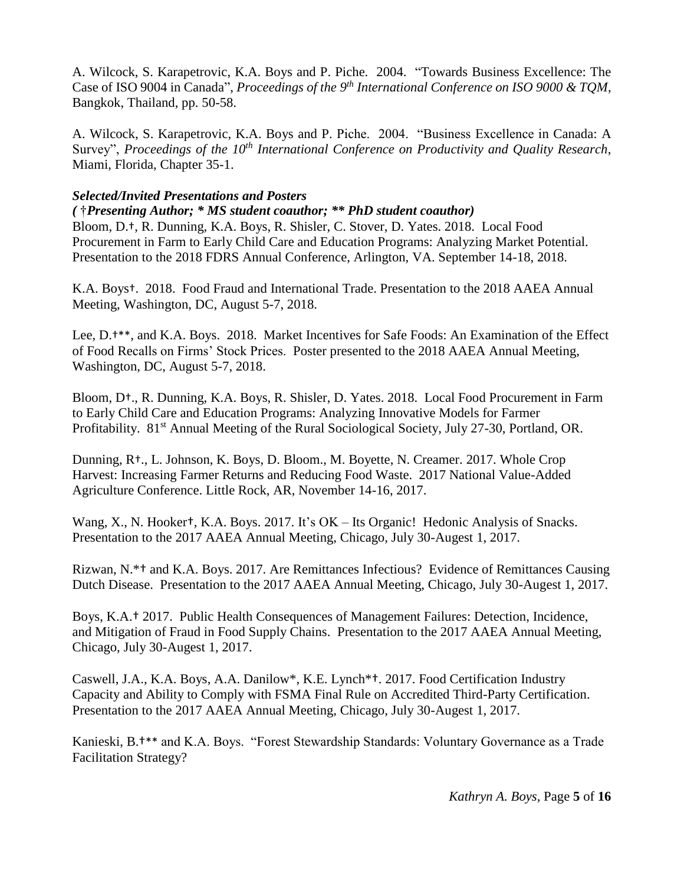A. Wilcock, S. Karapetrovic, K.A. Boys and P. Piche. 2004. "Towards Business Excellence: The Case of ISO 9004 in Canada", *Proceedings of the 9<sup>th</sup> International Conference on ISO 9000 & TQM*, Bangkok, Thailand, pp. 50-58.

A. Wilcock, S. Karapetrovic, K.A. Boys and P. Piche. 2004. "Business Excellence in Canada: A Survey", *Proceedings of the 10th International Conference on Productivity and Quality Research*, Miami, Florida, Chapter 35-1.

### *Selected/Invited Presentations and Posters*

*(* †*Presenting Author; \* MS student coauthor; \*\* PhD student coauthor)* 

Bloom, D.†, R. Dunning, K.A. Boys, R. Shisler, C. Stover, D. Yates. 2018. Local Food Procurement in Farm to Early Child Care and Education Programs: Analyzing Market Potential. Presentation to the 2018 FDRS Annual Conference, Arlington, VA. September 14-18, 2018.

K.A. Boys†. 2018. Food Fraud and International Trade. Presentation to the 2018 AAEA Annual Meeting, Washington, DC, August 5-7, 2018.

Lee, D.†\*\*, and K.A. Boys. 2018. Market Incentives for Safe Foods: An Examination of the Effect of Food Recalls on Firms' Stock Prices. Poster presented to the 2018 AAEA Annual Meeting, Washington, DC, August 5-7, 2018.

Bloom, D†., R. Dunning, K.A. Boys, R. Shisler, D. Yates. 2018. Local Food Procurement in Farm to Early Child Care and Education Programs: Analyzing Innovative Models for Farmer Profitability. 81<sup>st</sup> Annual Meeting of the Rural Sociological Society, July 27-30, Portland, OR.

Dunning, R†., L. Johnson, K. Boys, D. Bloom., M. Boyette, N. Creamer. 2017. Whole Crop Harvest: Increasing Farmer Returns and Reducing Food Waste. 2017 National Value-Added Agriculture Conference. Little Rock, AR, November 14-16, 2017.

Wang, X., N. Hooker<sup>†</sup>, K.A. Boys. 2017. It's OK – Its Organic! Hedonic Analysis of Snacks. Presentation to the 2017 AAEA Annual Meeting, Chicago, July 30-Augest 1, 2017.

Rizwan, N.\*† and K.A. Boys. 2017. Are Remittances Infectious? Evidence of Remittances Causing Dutch Disease. Presentation to the 2017 AAEA Annual Meeting, Chicago, July 30-Augest 1, 2017.

Boys, K.A.† 2017. Public Health Consequences of Management Failures: Detection, Incidence, and Mitigation of Fraud in Food Supply Chains. Presentation to the 2017 AAEA Annual Meeting, Chicago, July 30-Augest 1, 2017.

Caswell, J.A., K.A. Boys, A.A. Danilow\*, K.E. Lynch\*†. 2017. Food Certification Industry Capacity and Ability to Comply with FSMA Final Rule on Accredited Third-Party Certification. Presentation to the 2017 AAEA Annual Meeting, Chicago, July 30-Augest 1, 2017.

Kanieski, B.†\*\* and K.A. Boys. "Forest Stewardship Standards: Voluntary Governance as a Trade Facilitation Strategy?

*Kathryn A. Boys,* Page **5** of **16**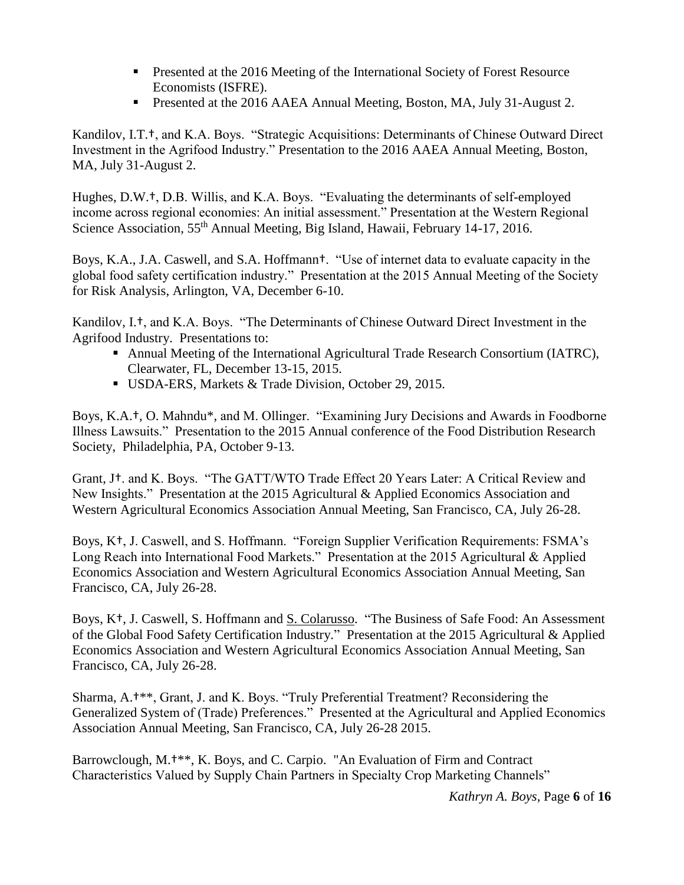- **Presented at the 2016 Meeting of the International Society of Forest Resource** Economists (ISFRE).
- Presented at the 2016 AAEA Annual Meeting, Boston, MA, July 31-August 2.

Kandilov, I.T.†, and K.A. Boys. "Strategic Acquisitions: Determinants of Chinese Outward Direct Investment in the Agrifood Industry." Presentation to the 2016 AAEA Annual Meeting, Boston, MA, July 31-August 2.

Hughes, D.W.†, D.B. Willis, and K.A. Boys. "Evaluating the determinants of self-employed income across regional economies: An initial assessment." Presentation at the Western Regional Science Association, 55<sup>th</sup> Annual Meeting, Big Island, Hawaii, February 14-17, 2016.

Boys, K.A., J.A. Caswell, and S.A. Hoffmann†. "Use of internet data to evaluate capacity in the global food safety certification industry." Presentation at the 2015 Annual Meeting of the Society for Risk Analysis, Arlington, VA, December 6-10.

Kandilov, I.†, and K.A. Boys. "The Determinants of Chinese Outward Direct Investment in the Agrifood Industry. Presentations to:

- Annual Meeting of the International Agricultural Trade Research Consortium (IATRC), Clearwater, FL, December 13-15, 2015.
- USDA-ERS, Markets & Trade Division, October 29, 2015.

Boys, K.A.†, O. Mahndu\*, and M. Ollinger. "Examining Jury Decisions and Awards in Foodborne Illness Lawsuits." Presentation to the 2015 Annual conference of the Food Distribution Research Society, Philadelphia, PA, October 9-13.

Grant, J†. and K. Boys. "The GATT/WTO Trade Effect 20 Years Later: A Critical Review and New Insights." Presentation at the 2015 Agricultural & Applied Economics Association and Western Agricultural Economics Association Annual Meeting, San Francisco, CA, July 26-28.

Boys, K†, J. Caswell, and S. Hoffmann. "Foreign Supplier Verification Requirements: FSMA's Long Reach into International Food Markets." Presentation at the 2015 Agricultural & Applied Economics Association and Western Agricultural Economics Association Annual Meeting, San Francisco, CA, July 26-28.

Boys, K<sup>+</sup>, J. Caswell, S. Hoffmann and <u>S. Colarusso</u>. "The Business of Safe Food: An Assessment of the Global Food Safety Certification Industry." Presentation at the 2015 Agricultural & Applied Economics Association and Western Agricultural Economics Association Annual Meeting, San Francisco, CA, July 26-28.

Sharma, A.†\*\*, Grant, J. and K. Boys. "Truly Preferential Treatment? Reconsidering the Generalized System of (Trade) Preferences." Presented at the Agricultural and Applied Economics Association Annual Meeting, San Francisco, CA, July 26-28 2015.

Barrowclough, M.<sup>†\*\*</sup>, K. Boys, and C. Carpio. "An Evaluation of Firm and Contract Characteristics Valued by Supply Chain Partners in Specialty Crop Marketing Channels"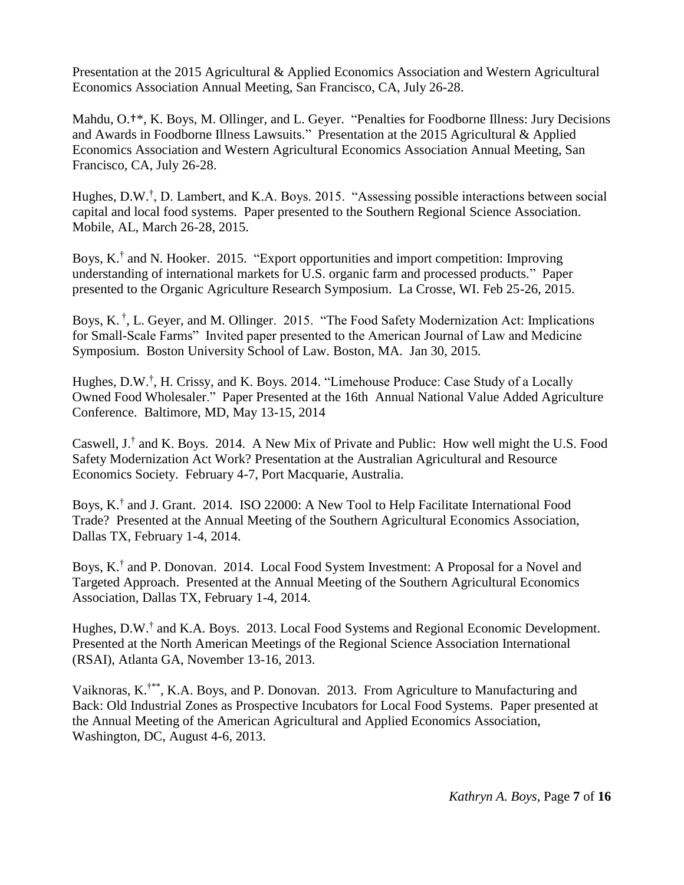Presentation at the 2015 Agricultural & Applied Economics Association and Western Agricultural Economics Association Annual Meeting, San Francisco, CA, July 26-28.

Mahdu, O.†\*, K. Boys, M. Ollinger, and L. Geyer. "Penalties for Foodborne Illness: Jury Decisions and Awards in Foodborne Illness Lawsuits." Presentation at the 2015 Agricultural & Applied Economics Association and Western Agricultural Economics Association Annual Meeting, San Francisco, CA, July 26-28.

Hughes, D.W.<sup>†</sup>, D. Lambert, and K.A. Boys. 2015. "Assessing possible interactions between social capital and local food systems. Paper presented to the Southern Regional Science Association. Mobile, AL, March 26-28, 2015.

Boys, K.<sup>†</sup> and N. Hooker. 2015. "Export opportunities and import competition: Improving understanding of international markets for U.S. organic farm and processed products." Paper presented to the Organic Agriculture Research Symposium. La Crosse, WI. Feb 25-26, 2015.

Boys, K.<sup>†</sup>, L. Geyer, and M. Ollinger. 2015. "The Food Safety Modernization Act: Implications for Small-Scale Farms" Invited paper presented to the American Journal of Law and Medicine Symposium. Boston University School of Law. Boston, MA. Jan 30, 2015.

Hughes, D.W.<sup>†</sup>, H. Crissy, and K. Boys. 2014. "Limehouse Produce: Case Study of a Locally Owned Food Wholesaler." Paper Presented at the 16th Annual National Value Added Agriculture Conference. Baltimore, MD, May 13-15, 2014

Caswell,  $J^{\dagger}$  and K. Boys. 2014. A New Mix of Private and Public: How well might the U.S. Food Safety Modernization Act Work? Presentation at the Australian Agricultural and Resource Economics Society. February 4-7, Port Macquarie, Australia.

Boys, K.<sup>†</sup> and J. Grant. 2014. ISO 22000: A New Tool to Help Facilitate International Food Trade? Presented at the Annual Meeting of the Southern Agricultural Economics Association, Dallas TX, February 1-4, 2014.

Boys, K.<sup>†</sup> and P. Donovan. 2014. Local Food System Investment: A Proposal for a Novel and Targeted Approach. Presented at the Annual Meeting of the Southern Agricultural Economics Association, Dallas TX, February 1-4, 2014.

Hughes, D.W.<sup>†</sup> and K.A. Boys. 2013. Local Food Systems and Regional Economic Development. Presented at the North American Meetings of the Regional Science Association International (RSAI), Atlanta GA, November 13-16, 2013.

Vaiknoras, K.<sup>†\*\*</sup>, K.A. Boys, and P. Donovan. 2013. From Agriculture to Manufacturing and Back: Old Industrial Zones as Prospective Incubators for Local Food Systems. Paper presented at the Annual Meeting of the American Agricultural and Applied Economics Association, Washington, DC, August 4-6, 2013.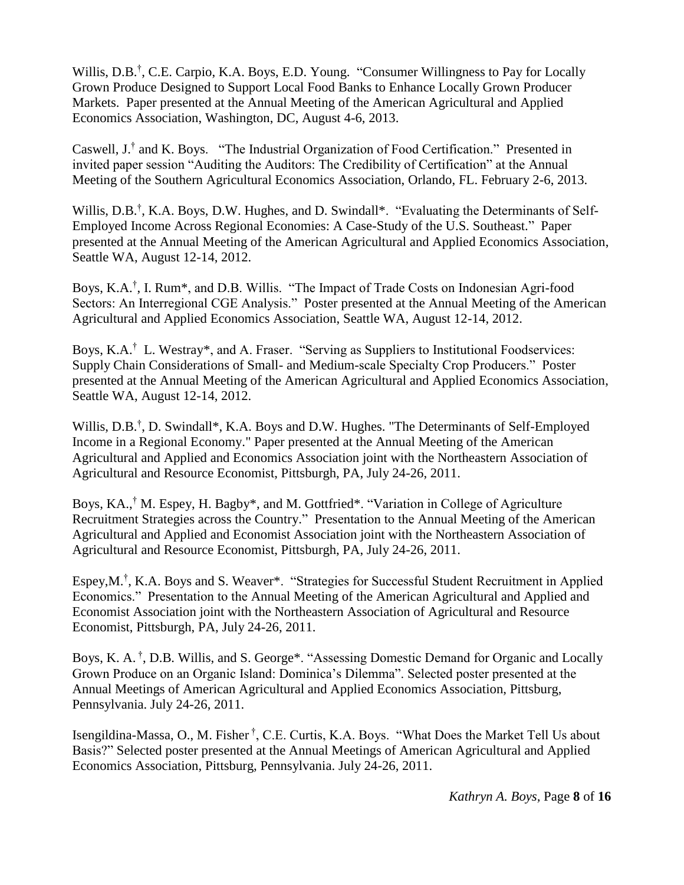Willis, D.B.<sup>†</sup>, C.E. Carpio, K.A. Boys, E.D. Young. "Consumer Willingness to Pay for Locally Grown Produce Designed to Support Local Food Banks to Enhance Locally Grown Producer Markets. Paper presented at the Annual Meeting of the American Agricultural and Applied Economics Association, Washington, DC, August 4-6, 2013.

Caswell, J.† and K. Boys. "The Industrial Organization of Food Certification." Presented in invited paper session "Auditing the Auditors: The Credibility of Certification" at the Annual Meeting of the Southern Agricultural Economics Association, Orlando, FL. February 2-6, 2013.

Willis, D.B.<sup>†</sup>, K.A. Boys, D.W. Hughes, and D. Swindall\*. "Evaluating the Determinants of Self-Employed Income Across Regional Economies: A Case-Study of the U.S. Southeast." Paper presented at the Annual Meeting of the American Agricultural and Applied Economics Association, Seattle WA, August 12-14, 2012.

Boys, K.A.<sup>†</sup>, I. Rum<sup>\*</sup>, and D.B. Willis. "The Impact of Trade Costs on Indonesian Agri-food Sectors: An Interregional CGE Analysis." Poster presented at the Annual Meeting of the American Agricultural and Applied Economics Association, Seattle WA, August 12-14, 2012.

Boys, K.A.<sup>†</sup> L. Westray\*, and A. Fraser. "Serving as Suppliers to Institutional Foodservices: Supply Chain Considerations of Small- and Medium-scale Specialty Crop Producers." Poster presented at the Annual Meeting of the American Agricultural and Applied Economics Association, Seattle WA, August 12-14, 2012.

Willis, D.B.<sup>†</sup>, D. Swindall\*, K.A. Boys and D.W. Hughes. "The Determinants of Self-Employed Income in a Regional Economy." Paper presented at the Annual Meeting of the American Agricultural and Applied and Economics Association joint with the Northeastern Association of Agricultural and Resource Economist, Pittsburgh, PA, July 24-26, 2011.

Boys, KA., † M. Espey, H. Bagby\*, and M. Gottfried\*. "Variation in College of Agriculture Recruitment Strategies across the Country." Presentation to the Annual Meeting of the American Agricultural and Applied and Economist Association joint with the Northeastern Association of Agricultural and Resource Economist, Pittsburgh, PA, July 24-26, 2011.

Espey,M.† , K.A. Boys and S. Weaver\*. "Strategies for Successful Student Recruitment in Applied Economics." Presentation to the Annual Meeting of the American Agricultural and Applied and Economist Association joint with the Northeastern Association of Agricultural and Resource Economist, Pittsburgh, PA, July 24-26, 2011.

Boys, K. A.<sup>†</sup>, D.B. Willis, and S. George\*. "Assessing Domestic Demand for Organic and Locally Grown Produce on an Organic Island: Dominica's Dilemma". Selected poster presented at the Annual Meetings of American Agricultural and Applied Economics Association, Pittsburg, Pennsylvania. July 24-26, 2011.

Isengildina-Massa, O., M. Fisher<sup>†</sup>, C.E. Curtis, K.A. Boys. "What Does the Market Tell Us about Basis?" Selected poster presented at the Annual Meetings of American Agricultural and Applied Economics Association, Pittsburg, Pennsylvania. July 24-26, 2011.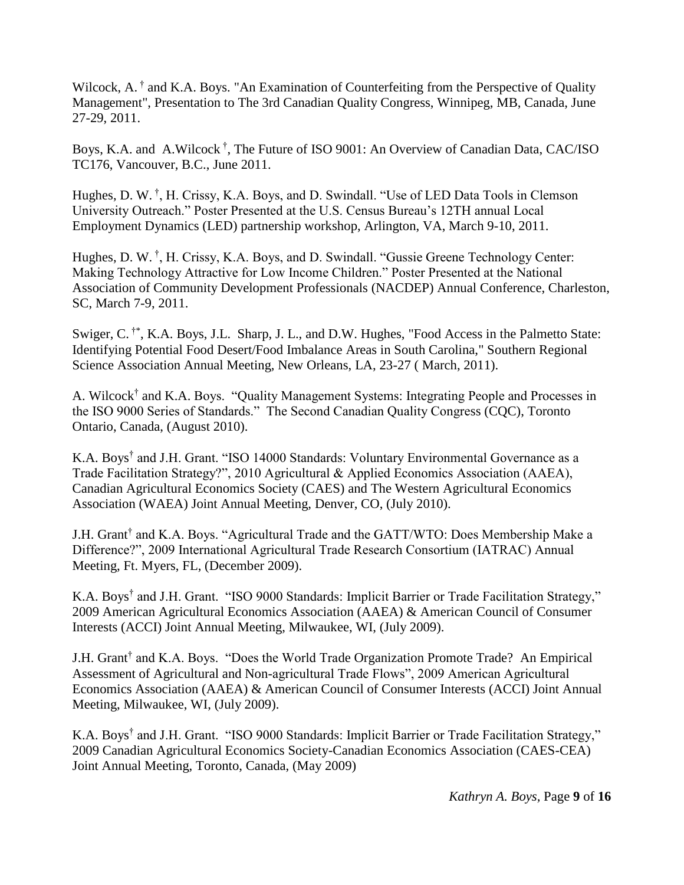Wilcock, A.<sup>†</sup> and K.A. Boys. "An Examination of Counterfeiting from the Perspective of Quality Management", Presentation to The 3rd Canadian Quality Congress, Winnipeg, MB, Canada, June 27-29, 2011.

Boys, K.A. and A.Wilcock † , The Future of ISO 9001: An Overview of Canadian Data, CAC/ISO TC176, Vancouver, B.C., June 2011.

Hughes, D. W.<sup>†</sup>, H. Crissy, K.A. Boys, and D. Swindall. "Use of LED Data Tools in Clemson University Outreach." Poster Presented at the U.S. Census Bureau's 12TH annual Local Employment Dynamics (LED) partnership workshop, Arlington, VA, March 9-10, 2011.

Hughes, D. W.<sup>†</sup>, H. Crissy, K.A. Boys, and D. Swindall. "Gussie Greene Technology Center: Making Technology Attractive for Low Income Children." Poster Presented at the National Association of Community Development Professionals (NACDEP) Annual Conference, Charleston, SC, March 7-9, 2011.

Swiger, C.<sup>†\*</sup>, K.A. Boys, J.L. Sharp, J. L., and D.W. Hughes, "Food Access in the Palmetto State: Identifying Potential Food Desert/Food Imbalance Areas in South Carolina," Southern Regional Science Association Annual Meeting, New Orleans, LA, 23-27 ( March, 2011).

A. Wilcock<sup>†</sup> and K.A. Boys. "Quality Management Systems: Integrating People and Processes in the ISO 9000 Series of Standards." The Second Canadian Quality Congress (CQC), Toronto Ontario, Canada, (August 2010).

K.A. Boys† and J.H. Grant. "ISO 14000 Standards: Voluntary Environmental Governance as a Trade Facilitation Strategy?", 2010 Agricultural & Applied Economics Association (AAEA), Canadian Agricultural Economics Society (CAES) and The Western Agricultural Economics Association (WAEA) Joint Annual Meeting, Denver, CO, (July 2010).

J.H. Grant† and K.A. Boys. "Agricultural Trade and the GATT/WTO: Does Membership Make a Difference?", 2009 International Agricultural Trade Research Consortium (IATRAC) Annual Meeting, Ft. Myers, FL, (December 2009).

K.A. Boys† and J.H. Grant. "ISO 9000 Standards: Implicit Barrier or Trade Facilitation Strategy," 2009 American Agricultural Economics Association (AAEA) & American Council of Consumer Interests (ACCI) Joint Annual Meeting, Milwaukee, WI, (July 2009).

J.H. Grant<sup>†</sup> and K.A. Boys. "Does the World Trade Organization Promote Trade? An Empirical Assessment of Agricultural and Non-agricultural Trade Flows", 2009 American Agricultural Economics Association (AAEA) & American Council of Consumer Interests (ACCI) Joint Annual Meeting, Milwaukee, WI, (July 2009).

K.A. Boys† and J.H. Grant. "ISO 9000 Standards: Implicit Barrier or Trade Facilitation Strategy," 2009 Canadian Agricultural Economics Society-Canadian Economics Association (CAES-CEA) Joint Annual Meeting, Toronto, Canada, (May 2009)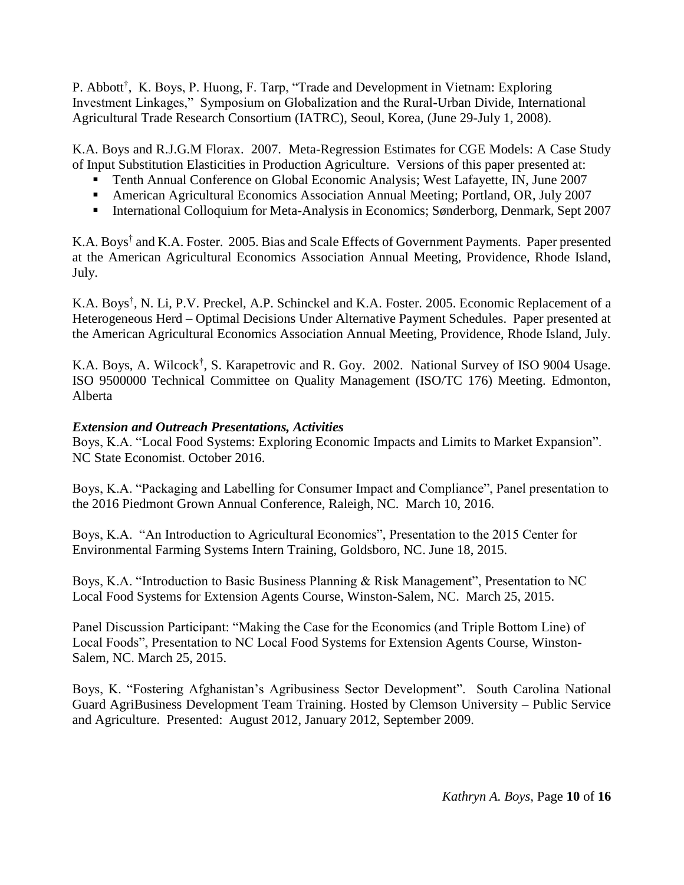P. Abbott<sup>†</sup>, K. Boys, P. Huong, F. Tarp, "Trade and Development in Vietnam: Exploring Investment Linkages," Symposium on Globalization and the Rural-Urban Divide, International Agricultural Trade Research Consortium (IATRC), Seoul, Korea, (June 29-July 1, 2008).

K.A. Boys and R.J.G.M Florax. 2007. Meta-Regression Estimates for CGE Models: A Case Study of Input Substitution Elasticities in Production Agriculture. Versions of this paper presented at:

- Tenth Annual Conference on Global Economic Analysis; West Lafayette, IN, June 2007
- American Agricultural Economics Association Annual Meeting; Portland, OR, July 2007
- International Colloquium for Meta-Analysis in Economics; Sønderborg, Denmark, Sept 2007

K.A. Boys† and K.A. Foster. 2005. Bias and Scale Effects of Government Payments. Paper presented at the American Agricultural Economics Association Annual Meeting, Providence, Rhode Island, July.

K.A. Boys† , N. Li, P.V. Preckel, A.P. Schinckel and K.A. Foster. 2005. Economic Replacement of a Heterogeneous Herd – Optimal Decisions Under Alternative Payment Schedules. Paper presented at the American Agricultural Economics Association Annual Meeting, Providence, Rhode Island, July.

K.A. Boys, A. Wilcock<sup>†</sup>, S. Karapetrovic and R. Goy. 2002. National Survey of ISO 9004 Usage. ISO 9500000 Technical Committee on Quality Management (ISO/TC 176) Meeting. Edmonton, Alberta

## *Extension and Outreach Presentations, Activities*

Boys, K.A. "Local Food Systems: Exploring Economic Impacts and Limits to Market Expansion". NC State Economist. October 2016.

Boys, K.A. "Packaging and Labelling for Consumer Impact and Compliance", Panel presentation to the 2016 Piedmont Grown Annual Conference, Raleigh, NC. March 10, 2016.

Boys, K.A. "An Introduction to Agricultural Economics", Presentation to the 2015 Center for Environmental Farming Systems Intern Training, Goldsboro, NC. June 18, 2015.

Boys, K.A. "Introduction to Basic Business Planning & Risk Management", Presentation to NC Local Food Systems for Extension Agents Course, Winston-Salem, NC. March 25, 2015.

Panel Discussion Participant: "Making the Case for the Economics (and Triple Bottom Line) of Local Foods", Presentation to NC Local Food Systems for Extension Agents Course, Winston-Salem, NC. March 25, 2015.

Boys, K. "Fostering Afghanistan's Agribusiness Sector Development". South Carolina National Guard AgriBusiness Development Team Training. Hosted by Clemson University – Public Service and Agriculture. Presented: August 2012, January 2012, September 2009.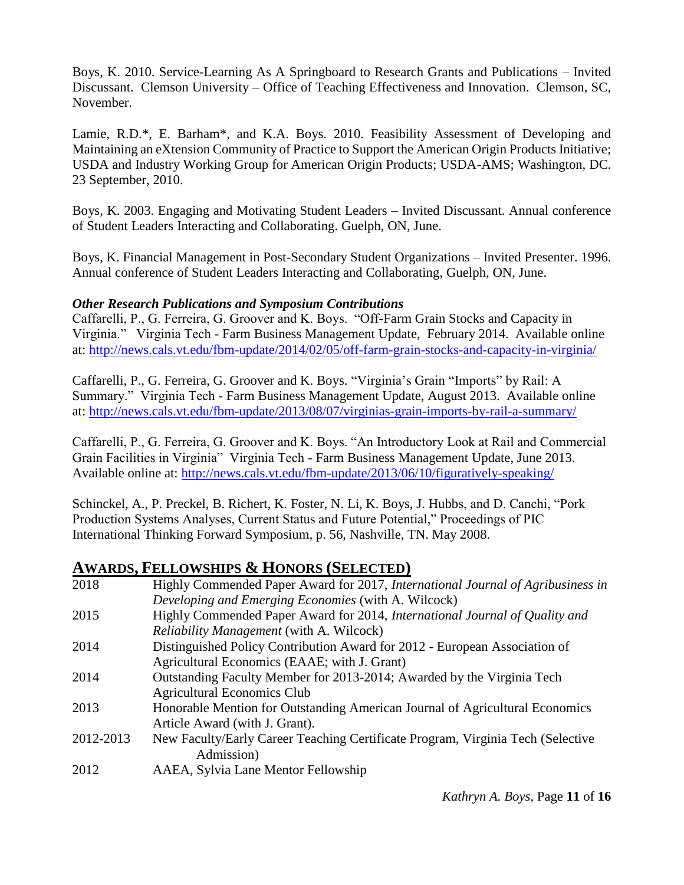Boys, K. 2010. Service-Learning As A Springboard to Research Grants and Publications – Invited Discussant. Clemson University – Office of Teaching Effectiveness and Innovation. Clemson, SC, November.

Lamie, R.D.\*, E. Barham\*, and K.A. Boys. 2010. Feasibility Assessment of Developing and Maintaining an eXtension Community of Practice to Support the American Origin Products Initiative; USDA and Industry Working Group for American Origin Products; USDA-AMS; Washington, DC. 23 September, 2010.

Boys, K. 2003. Engaging and Motivating Student Leaders – Invited Discussant. Annual conference of Student Leaders Interacting and Collaborating. Guelph, ON, June.

Boys, K. Financial Management in Post-Secondary Student Organizations – Invited Presenter. 1996. Annual conference of Student Leaders Interacting and Collaborating, Guelph, ON, June.

### *Other Research Publications and Symposium Contributions*

Caffarelli, P., G. Ferreira, G. Groover and K. Boys. "Off-Farm Grain Stocks and Capacity in Virginia." Virginia Tech - Farm Business Management Update, February 2014. Available online at:<http://news.cals.vt.edu/fbm-update/2014/02/05/off-farm-grain-stocks-and-capacity-in-virginia/>

Caffarelli, P., G. Ferreira, G. Groover and K. Boys. "Virginia's Grain "Imports" by Rail: A Summary." Virginia Tech - Farm Business Management Update, August 2013. Available online at:<http://news.cals.vt.edu/fbm-update/2013/08/07/virginias-grain-imports-by-rail-a-summary/>

Caffarelli, P., G. Ferreira, G. Groover and K. Boys. "An Introductory Look at Rail and Commercial Grain Facilities in Virginia" Virginia Tech - Farm Business Management Update, June 2013. Available online at:<http://news.cals.vt.edu/fbm-update/2013/06/10/figuratively-speaking/>

Schinckel, A., P. Preckel, B. Richert, K. Foster, N. Li, K. Boys, J. Hubbs, and D. Canchi, "Pork Production Systems Analyses, Current Status and Future Potential," Proceedings of PIC International Thinking Forward Symposium, p. 56, Nashville, TN. May 2008.

# **AWARDS, FELLOWSHIPS & HONORS (SELECTED)**

| 2018      | Highly Commended Paper Award for 2017, International Journal of Agribusiness in    |
|-----------|------------------------------------------------------------------------------------|
|           | Developing and Emerging Economies (with A. Wilcock)                                |
| 2015      | Highly Commended Paper Award for 2014, <i>International Journal of Quality and</i> |
|           | Reliability Management (with A. Wilcock)                                           |
| 2014      | Distinguished Policy Contribution Award for 2012 - European Association of         |
|           | Agricultural Economics (EAAE; with J. Grant)                                       |
| 2014      | Outstanding Faculty Member for 2013-2014; Awarded by the Virginia Tech             |
|           | <b>Agricultural Economics Club</b>                                                 |
| 2013      | Honorable Mention for Outstanding American Journal of Agricultural Economics       |
|           | Article Award (with J. Grant).                                                     |
| 2012-2013 | New Faculty/Early Career Teaching Certificate Program, Virginia Tech (Selective    |
|           | Admission)                                                                         |
| 2012      | AAEA, Sylvia Lane Mentor Fellowship                                                |
|           |                                                                                    |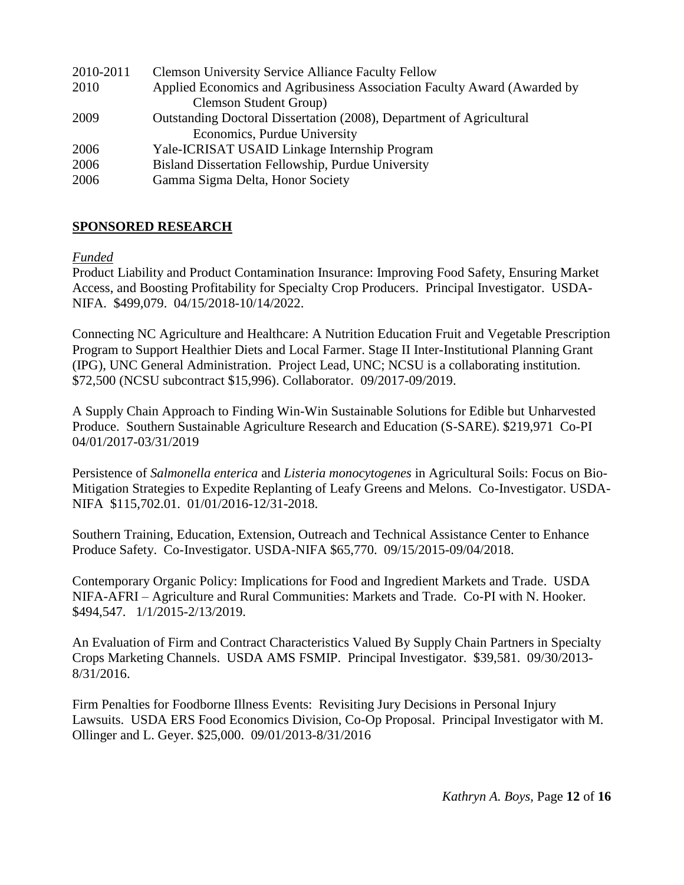| 2010-2011 | <b>Clemson University Service Alliance Faculty Fellow</b>                |
|-----------|--------------------------------------------------------------------------|
| 2010      | Applied Economics and Agribusiness Association Faculty Award (Awarded by |
|           | <b>Clemson Student Group)</b>                                            |
| 2009      | Outstanding Doctoral Dissertation (2008), Department of Agricultural     |
|           | Economics, Purdue University                                             |
| 2006      | Yale-ICRISAT USAID Linkage Internship Program                            |
| 2006      | Bisland Dissertation Fellowship, Purdue University                       |
| 2006      | Gamma Sigma Delta, Honor Society                                         |
|           |                                                                          |

# **SPONSORED RESEARCH**

*Funded*

Product Liability and Product Contamination Insurance: Improving Food Safety, Ensuring Market Access, and Boosting Profitability for Specialty Crop Producers. Principal Investigator. USDA-NIFA. \$499,079. 04/15/2018-10/14/2022.

Connecting NC Agriculture and Healthcare: A Nutrition Education Fruit and Vegetable Prescription Program to Support Healthier Diets and Local Farmer. Stage II Inter-Institutional Planning Grant (IPG), UNC General Administration. Project Lead, UNC; NCSU is a collaborating institution. \$72,500 (NCSU subcontract \$15,996). Collaborator. 09/2017-09/2019.

A Supply Chain Approach to Finding Win-Win Sustainable Solutions for Edible but Unharvested Produce. Southern Sustainable Agriculture Research and Education (S-SARE). \$219,971 Co-PI 04/01/2017-03/31/2019

Persistence of *Salmonella enterica* and *Listeria monocytogenes* in Agricultural Soils: Focus on Bio-Mitigation Strategies to Expedite Replanting of Leafy Greens and Melons. Co-Investigator. USDA-NIFA \$115,702.01. 01/01/2016-12/31-2018.

Southern Training, Education, Extension, Outreach and Technical Assistance Center to Enhance Produce Safety. Co-Investigator. USDA-NIFA \$65,770. 09/15/2015-09/04/2018.

Contemporary Organic Policy: Implications for Food and Ingredient Markets and Trade. USDA NIFA-AFRI – Agriculture and Rural Communities: Markets and Trade. Co-PI with N. Hooker. \$494,547. 1/1/2015-2/13/2019.

An Evaluation of Firm and Contract Characteristics Valued By Supply Chain Partners in Specialty Crops Marketing Channels. USDA AMS FSMIP. Principal Investigator. \$39,581. 09/30/2013- 8/31/2016.

Firm Penalties for Foodborne Illness Events: Revisiting Jury Decisions in Personal Injury Lawsuits. USDA ERS Food Economics Division, Co-Op Proposal. Principal Investigator with M. Ollinger and L. Geyer. \$25,000. 09/01/2013-8/31/2016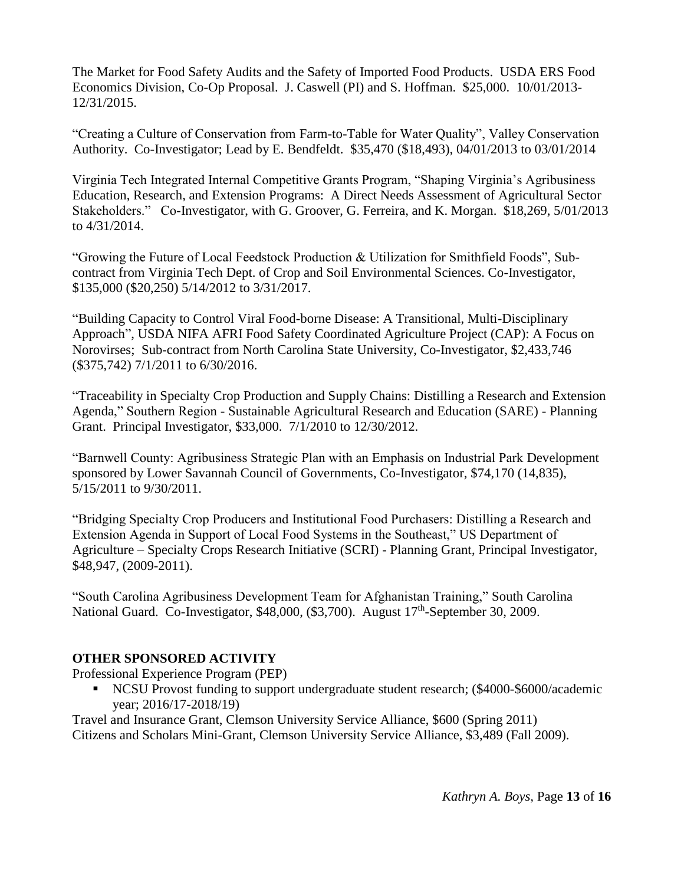The Market for Food Safety Audits and the Safety of Imported Food Products. USDA ERS Food Economics Division, Co-Op Proposal. J. Caswell (PI) and S. Hoffman. \$25,000. 10/01/2013- 12/31/2015.

"Creating a Culture of Conservation from Farm-to-Table for Water Quality", Valley Conservation Authority. Co-Investigator; Lead by E. Bendfeldt. \$35,470 (\$18,493), 04/01/2013 to 03/01/2014

Virginia Tech Integrated Internal Competitive Grants Program, "Shaping Virginia's Agribusiness Education, Research, and Extension Programs: A Direct Needs Assessment of Agricultural Sector Stakeholders." Co-Investigator, with G. Groover, G. Ferreira, and K. Morgan. \$18,269, 5/01/2013 to 4/31/2014.

"Growing the Future of Local Feedstock Production & Utilization for Smithfield Foods", Subcontract from Virginia Tech Dept. of Crop and Soil Environmental Sciences. Co-Investigator, \$135,000 (\$20,250) 5/14/2012 to 3/31/2017.

"Building Capacity to Control Viral Food-borne Disease: A Transitional, Multi-Disciplinary Approach", USDA NIFA AFRI Food Safety Coordinated Agriculture Project (CAP): A Focus on Norovirses; Sub-contract from North Carolina State University, Co-Investigator, \$2,433,746 (\$375,742) 7/1/2011 to 6/30/2016.

"Traceability in Specialty Crop Production and Supply Chains: Distilling a Research and Extension Agenda," Southern Region - Sustainable Agricultural Research and Education (SARE) - Planning Grant. Principal Investigator, \$33,000. 7/1/2010 to 12/30/2012.

"Barnwell County: Agribusiness Strategic Plan with an Emphasis on Industrial Park Development sponsored by Lower Savannah Council of Governments, Co-Investigator, \$74,170 (14,835), 5/15/2011 to 9/30/2011.

"Bridging Specialty Crop Producers and Institutional Food Purchasers: Distilling a Research and Extension Agenda in Support of Local Food Systems in the Southeast," US Department of Agriculture – Specialty Crops Research Initiative (SCRI) - Planning Grant, Principal Investigator, \$48,947, (2009-2011).

"South Carolina Agribusiness Development Team for Afghanistan Training," South Carolina National Guard. Co-Investigator, \$48,000, (\$3,700). August 17<sup>th</sup>-September 30, 2009.

# **OTHER SPONSORED ACTIVITY**

Professional Experience Program (PEP)

NCSU Provost funding to support undergraduate student research; (\$4000-\$6000/academic year; 2016/17-2018/19)

Travel and Insurance Grant, Clemson University Service Alliance, \$600 (Spring 2011) Citizens and Scholars Mini-Grant, Clemson University Service Alliance, \$3,489 (Fall 2009).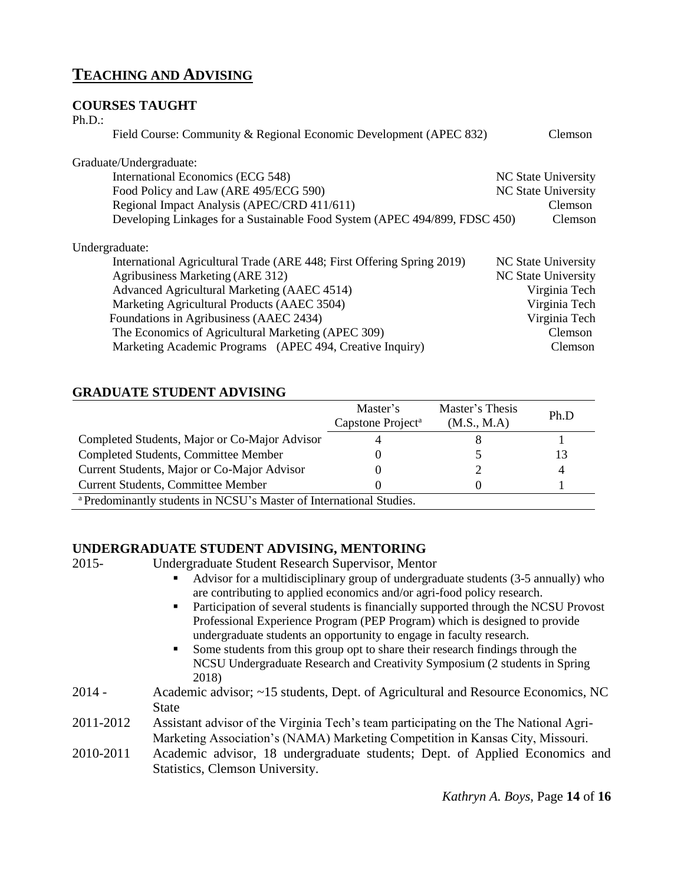# **TEACHING AND ADVISING**

### **COURSES TAUGHT**

| $Ph.D.$ :                                                                  |                            |
|----------------------------------------------------------------------------|----------------------------|
| Field Course: Community & Regional Economic Development (APEC 832)         | Clemson                    |
| Graduate/Undergraduate:                                                    |                            |
| International Economics (ECG 548)                                          | <b>NC State University</b> |
| Food Policy and Law (ARE 495/ECG 590)                                      | <b>NC State University</b> |
| Regional Impact Analysis (APEC/CRD 411/611)                                | <b>Clemson</b>             |
| Developing Linkages for a Sustainable Food System (APEC 494/899, FDSC 450) | Clemson                    |
| Undergraduate:                                                             |                            |
| International Agricultural Trade (ARE 448; First Offering Spring 2019)     | NC State University        |
| Agribusiness Marketing (ARE 312)                                           | <b>NC State University</b> |
| Advanced Agricultural Marketing (AAEC 4514)                                | Virginia Tech              |
| Marketing Agricultural Products (AAEC 3504)                                | Virginia Tech              |
| Foundations in Agribusiness (AAEC 2434)                                    | Virginia Tech              |
| The Economics of Agricultural Marketing (APEC 309)                         | <b>Clemson</b>             |
| Marketing Academic Programs (APEC 494, Creative Inquiry)                   | Clemson                    |

## **GRADUATE STUDENT ADVISING**

|                                                                                | Master's<br>Capstone Project <sup>a</sup> | Master's Thesis<br>(M.S., M.A) | Ph.D |  |
|--------------------------------------------------------------------------------|-------------------------------------------|--------------------------------|------|--|
| Completed Students, Major or Co-Major Advisor                                  |                                           |                                |      |  |
| Completed Students, Committee Member                                           |                                           |                                | 13   |  |
| Current Students, Major or Co-Major Advisor                                    |                                           |                                | 4    |  |
| <b>Current Students, Committee Member</b>                                      |                                           |                                |      |  |
| <sup>a</sup> Predominantly students in NCSU's Master of International Studies. |                                           |                                |      |  |

## **UNDERGRADUATE STUDENT ADVISING, MENTORING**

2015- Undergraduate Student Research Supervisor, Mentor

- Advisor for a multidisciplinary group of undergraduate students (3-5 annually) who are contributing to applied economics and/or agri-food policy research.
- Participation of several students is financially supported through the NCSU Provost Professional Experience Program (PEP Program) which is designed to provide undergraduate students an opportunity to engage in faculty research.
- Some students from this group opt to share their research findings through the NCSU Undergraduate Research and Creativity Symposium (2 students in Spring 2018)
- 2014 Academic advisor; ~15 students, Dept. of Agricultural and Resource Economics, NC State
- 2011-2012 Assistant advisor of the Virginia Tech's team participating on the The National Agri-Marketing Association's (NAMA) Marketing Competition in Kansas City, Missouri.
- 2010-2011 Academic advisor, 18 undergraduate students; Dept. of Applied Economics and Statistics, Clemson University.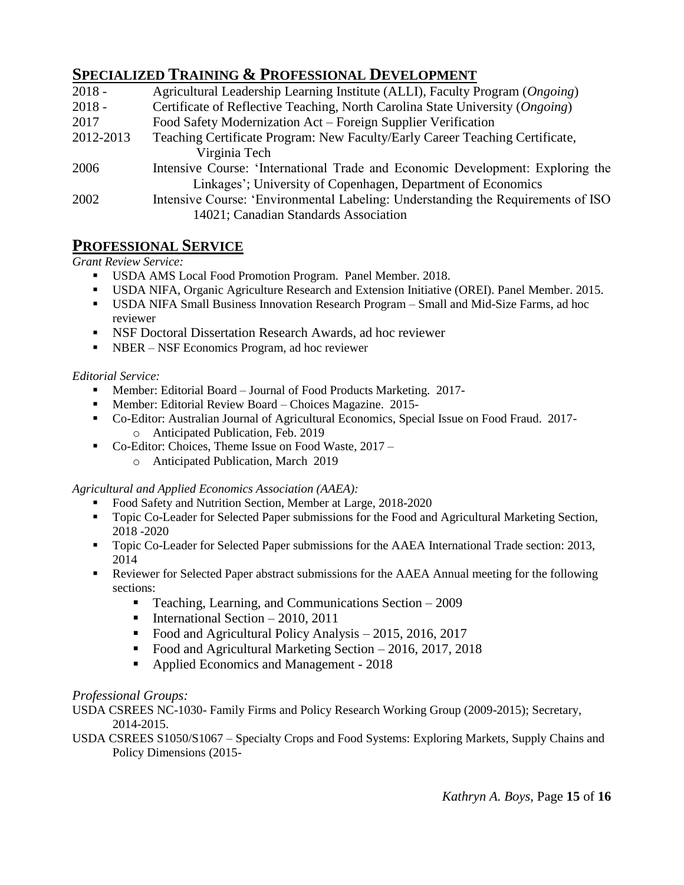# **SPECIALIZED TRAINING & PROFESSIONAL DEVELOPMENT**

| $2018 -$  | Agricultural Leadership Learning Institute (ALLI), Faculty Program (Ongoing)     |
|-----------|----------------------------------------------------------------------------------|
| $2018 -$  | Certificate of Reflective Teaching, North Carolina State University (Ongoing)    |
| 2017      | Food Safety Modernization Act – Foreign Supplier Verification                    |
| 2012-2013 | Teaching Certificate Program: New Faculty/Early Career Teaching Certificate,     |
|           | Virginia Tech                                                                    |
| 2006      | Intensive Course: 'International Trade and Economic Development: Exploring the   |
|           | Linkages'; University of Copenhagen, Department of Economics                     |
| 2002      | Intensive Course: 'Environmental Labeling: Understanding the Requirements of ISO |
|           | 14021; Canadian Standards Association                                            |

# **PROFESSIONAL SERVICE**

*Grant Review Service:* 

- USDA AMS Local Food Promotion Program. Panel Member. 2018.
- USDA NIFA, Organic Agriculture Research and Extension Initiative (OREI). Panel Member. 2015.
- USDA NIFA Small Business Innovation Research Program Small and Mid-Size Farms, ad hoc reviewer
- NSF Doctoral Dissertation Research Awards, ad hoc reviewer
- NBER NSF Economics Program, ad hoc reviewer

#### *Editorial Service:*

- Member: Editorial Board Journal of Food Products Marketing. 2017-
- Member: Editorial Review Board Choices Magazine. 2015-
- Co-Editor: Australian Journal of Agricultural Economics, Special Issue on Food Fraud. 2017 o Anticipated Publication, Feb. 2019
- Co-Editor: Choices, Theme Issue on Food Waste, 2017
	- o Anticipated Publication, March 2019

*Agricultural and Applied Economics Association (AAEA):* 

- Food Safety and Nutrition Section, Member at Large, 2018-2020
- Topic Co-Leader for Selected Paper submissions for the Food and Agricultural Marketing Section, 2018 -2020
- Topic Co-Leader for Selected Paper submissions for the AAEA International Trade section: 2013, 2014
- Reviewer for Selected Paper abstract submissions for the AAEA Annual meeting for the following sections:
	- Teaching, Learning, and Communications Section 2009
	- International Section  $-2010$ , 2011
	- Food and Agricultural Policy Analysis 2015, 2016, 2017
	- Food and Agricultural Marketing Section 2016, 2017, 2018
	- Applied Economics and Management 2018

### *Professional Groups:*

USDA CSREES NC-1030- Family Firms and Policy Research Working Group (2009-2015); Secretary, 2014-2015.

USDA CSREES S1050/S1067 – Specialty Crops and Food Systems: Exploring Markets, Supply Chains and Policy Dimensions (2015-